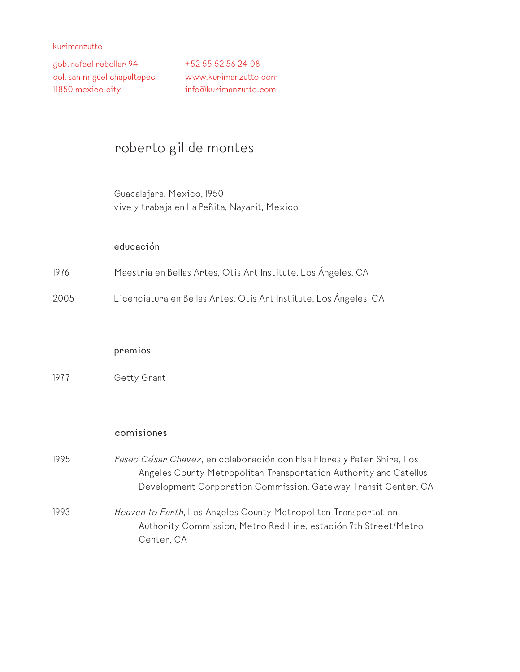gob. rafael rebollar 94 col. san miguel chapultepec 11850 mexico city

+52 55 52 56 24 08 www.kurimanzutto.com info@kurimanzutto.com

# roberto gil de montes

Guadalajara, Mexico, 1950 vive y trabaja en La Peñita, Nayarit, Mexico

#### **educación**

- 1976 Maestria en Bellas Artes, Otis Art Institute, Los Ángeles, CA
- 2005 Licenciatura en Bellas Artes, Otis Art Institute, Los Ángeles, CA

#### **premios**

1977 Getty Grant

#### **comisiones**

1995 *Paseo César Chavez*, en colaboración con Elsa Flores y Peter Shire, Los Angeles County Metropolitan Transportation Authority and Catellus Development Corporation Commission, Gateway Transit Center, CA

1993 *Heaven to Earth*, Los Angeles County Metropolitan Transportation Authority Commission, Metro Red Line, estación 7th Street/Metro Center, CA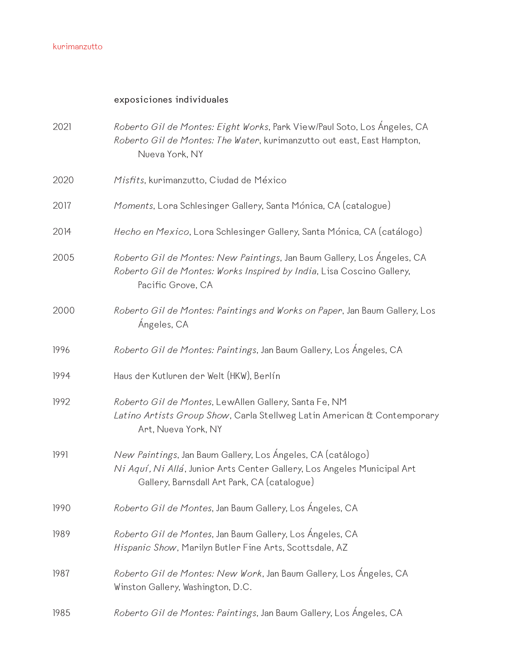# **exposiciones individuales**

| 2021 | Roberto Gil de Montes: Eight Works, Park View/Paul Soto, Los Angeles, CA<br>Roberto Gil de Montes: The Water, kurimanzutto out east, East Hampton,<br>Nueva York, NY                  |
|------|---------------------------------------------------------------------------------------------------------------------------------------------------------------------------------------|
| 2020 | Misfits, kurimanzutto, Ciudad de México                                                                                                                                               |
| 2017 | Moments, Lora Schlesinger Gallery, Santa Mónica, CA (catalogue)                                                                                                                       |
| 2014 | Hecho en Mexico, Lora Schlesinger Gallery, Santa Mónica, CA (catálogo)                                                                                                                |
| 2005 | Roberto Gil de Montes: New Paintings, Jan Baum Gallery, Los Angeles, CA<br>Roberto Gil de Montes: Works Inspired by India, Lisa Coscino Gallery,<br>Pacific Grove, CA                 |
| 2000 | Roberto Gil de Montes: Paintings and Works on Paper, Jan Baum Gallery, Los<br>Ángeles, CA                                                                                             |
| 1996 | Roberto Gil de Montes: Paintings, Jan Baum Gallery, Los Ángeles, CA                                                                                                                   |
| 1994 | Haus der Kutluren der Welt (HKW), Berlín                                                                                                                                              |
| 1992 | Roberto Gil de Montes, LewAllen Gallery, Santa Fe, NM<br>Latino Artists Group Show, Carla Stellweg Latin American & Contemporary<br>Art, Nueva York, NY                               |
| 1991 | New Paintings, Jan Baum Gallery, Los Ángeles, CA (catalogo)<br>Ni Aquí, Ni Allá, Junior Arts Center Gallery, Los Angeles Municipal Art<br>Gallery, Barnsdall Art Park, CA (catalogue) |
| 1990 | Roberto Gil de Montes, Jan Baum Gallery, Los Ángeles, CA                                                                                                                              |
| 1989 | Roberto Gil de Montes, Jan Baum Gallery, Los Ángeles, CA<br>Hispanic Show, Marilyn Butler Fine Arts, Scottsdale, AZ                                                                   |
| 1987 | Roberto Gil de Montes: New Work, Jan Baum Gallery, Los Angeles, CA<br>Winston Gallery, Washington, D.C.                                                                               |
| 1985 | Roberto Gil de Montes: Paintings, Jan Baum Gallery, Los Ángeles, CA                                                                                                                   |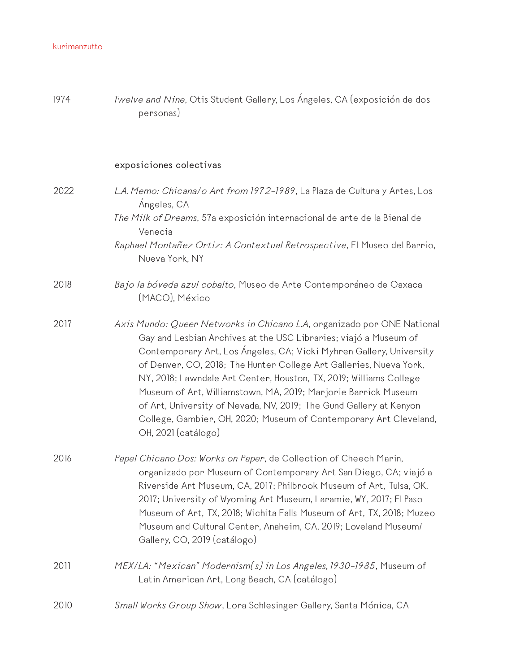| 1974 | Twelve and Nine, Otis Student Gallery, Los Angeles, CA (exposición de dos<br>personas)                                                                                                                                                                                                                                                                                                                                                                                                                                                                                                            |
|------|---------------------------------------------------------------------------------------------------------------------------------------------------------------------------------------------------------------------------------------------------------------------------------------------------------------------------------------------------------------------------------------------------------------------------------------------------------------------------------------------------------------------------------------------------------------------------------------------------|
|      | exposiciones colectivas                                                                                                                                                                                                                                                                                                                                                                                                                                                                                                                                                                           |
| 2022 | L.A. Memo: Chicana/o Art from 1972-1989, La Plaza de Cultura y Artes, Los<br>Ángeles, CA<br>The Milk of Dreams, 57a exposición internacional de arte de la Bienal de<br>Venecia                                                                                                                                                                                                                                                                                                                                                                                                                   |
|      | Raphael Montañez Ortiz: A Contextual Retrospective, El Museo del Barrio,<br>Nueva York, NY                                                                                                                                                                                                                                                                                                                                                                                                                                                                                                        |
| 2018 | Bajo la bóveda azul cobalto, Museo de Arte Contemporáneo de Oaxaca<br>(MACO), México                                                                                                                                                                                                                                                                                                                                                                                                                                                                                                              |
| 2017 | Axis Mundo: Queer Networks in Chicano L.A, organizado por ONE National<br>Gay and Lesbian Archives at the USC Libraries; viajó a Museum of<br>Contemporary Art, Los Ángeles, CA; Vicki Myhren Gallery, University<br>of Denver, CO, 2018; The Hunter College Art Galleries, Nueva York,<br>NY, 2018; Lawndale Art Center, Houston, TX, 2019; Williams College<br>Museum of Art, Williamstown, MA, 2019; Marjorie Barrick Museum<br>of Art, University of Nevada, NV, 2019; The Gund Gallery at Kenyon<br>College, Gambier, OH, 2020; Museum of Contemporary Art Cleveland,<br>OH, 2021 (catálogo) |
| 2016 | Papel Chicano Dos: Works on Paper, de Collection of Cheech Marin,<br>organizado por Museum of Contemporary Art San Diego, CA; viajó a<br>Riverside Art Museum, CA, 2017; Philbrook Museum of Art, Tulsa, OK,<br>2017; University of Wyoming Art Museum, Laramie, WY, 2017; El Paso<br>Museum of Art, TX, 2018; Wichita Falls Museum of Art, TX, 2018; Muzeo<br>Museum and Cultural Center, Anaheim, CA, 2019; Loveland Museum/<br>Gallery, CO, 2019 (catálogo)                                                                                                                                    |
| 2011 | MEX/LA: "Mexican" Modernism(s) in Los Angeles, 1930-1985, Museum of<br>Latin American Art, Long Beach, CA (catálogo)                                                                                                                                                                                                                                                                                                                                                                                                                                                                              |
| 2010 | Small Works Group Show, Lora Schlesinger Gallery, Santa Mónica, CA                                                                                                                                                                                                                                                                                                                                                                                                                                                                                                                                |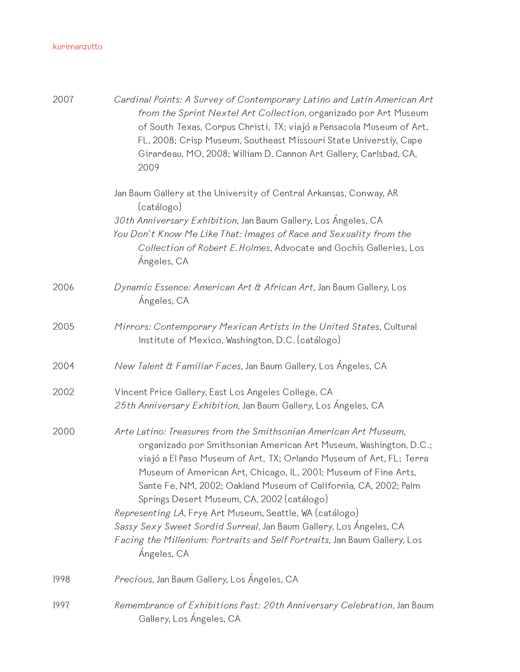| 2007 | Cardinal Points: A Survey of Contemporary Latino and Latin American Art<br>from the Sprint Nextel Art Collection, organizado por Art Museum<br>of South Texas, Corpus Christi, TX; viajó a Pensacola Museum of Art,<br>FL, 2008; Crisp Museum, Southeast Missouri State Universtiy, Cape<br>Girardeau, MO, 2008; William D. Cannon Art Gallery, Carlsbad, CA,<br>2009                                                                                                                                                                                                                                                           |
|------|---------------------------------------------------------------------------------------------------------------------------------------------------------------------------------------------------------------------------------------------------------------------------------------------------------------------------------------------------------------------------------------------------------------------------------------------------------------------------------------------------------------------------------------------------------------------------------------------------------------------------------|
|      | Jan Baum Gallery at the University of Central Arkansas, Conway, AR<br>(catálogo)<br>30th Anniversary Exhibition, Jan Baum Gallery, Los Ángeles, CA<br>You Don't Know Me Like That: Images of Race and Sexuality from the<br>Collection of Robert E. Holmes, Advocate and Gochis Galleries, Los<br>Ángeles, CA                                                                                                                                                                                                                                                                                                                   |
| 2006 | Dynamic Essence: American Art & African Art, Jan Baum Gallery, Los<br>Ángeles, CA                                                                                                                                                                                                                                                                                                                                                                                                                                                                                                                                               |
| 2005 | Mirrors: Contemporary Mexican Artists in the United States, Cultural<br>Institute of Mexico, Washington, D.C. (catálogo)                                                                                                                                                                                                                                                                                                                                                                                                                                                                                                        |
| 2004 | New Talent & Familiar Faces, Jan Baum Gallery, Los Ángeles, CA                                                                                                                                                                                                                                                                                                                                                                                                                                                                                                                                                                  |
| 2002 | Vincent Price Gallery, East Los Angeles College, CA<br>25th Anniversary Exhibition, Jan Baum Gallery, Los Ángeles, CA                                                                                                                                                                                                                                                                                                                                                                                                                                                                                                           |
| 2000 | Arte Latino: Treasures from the Smithsonian American Art Museum,<br>organizado por Smithsonian American Art Museum, Washington, D.C.;<br>viajó a El Paso Museum of Art, TX; Orlando Museum of Art, FL; Terra<br>Museum of American Art, Chicago, IL, 2001; Museum of Fine Arts,<br>Sante Fe, NM, 2002; Oakland Museum of California, CA, 2002; Palm<br>Springs Desert Museum, CA, 2002 (catálogo)<br>Representing LA, Frye Art Museum, Seattle, WA (catálogo)<br>Sassy Sexy Sweet Sordid Surreal, Jan Baum Gallery, Los Ángeles, CA<br>Facing the Millenium: Portraits and Self Portraits, Jan Baum Gallery, Los<br>Ángeles, CA |
| 1998 | Precious, Jan Baum Gallery, Los Ángeles, CA                                                                                                                                                                                                                                                                                                                                                                                                                                                                                                                                                                                     |
| 1997 | Remembrance of Exhibitions Past: 20th Anniversary Celebration, Jan Baum<br>Gallery, Los Ángeles, CA                                                                                                                                                                                                                                                                                                                                                                                                                                                                                                                             |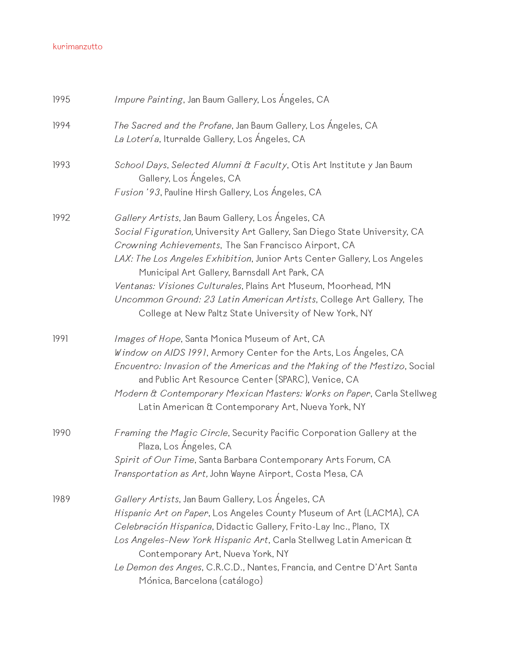| 1995 | Impure Painting, Jan Baum Gallery, Los Ángeles, CA                                                                                                                                                                                                                                                                                                                                                                                                                                                                      |
|------|-------------------------------------------------------------------------------------------------------------------------------------------------------------------------------------------------------------------------------------------------------------------------------------------------------------------------------------------------------------------------------------------------------------------------------------------------------------------------------------------------------------------------|
| 1994 | The Sacred and the Profane, Jan Baum Gallery, Los Angeles, CA<br>La Lotería, Iturralde Gallery, Los Ángeles, CA                                                                                                                                                                                                                                                                                                                                                                                                         |
| 1993 | School Days, Selected Alumni & Faculty, Otis Art Institute y Jan Baum<br>Gallery, Los Ángeles, CA<br>Fusion '93, Pauline Hirsh Gallery, Los Ángeles, CA                                                                                                                                                                                                                                                                                                                                                                 |
|      |                                                                                                                                                                                                                                                                                                                                                                                                                                                                                                                         |
| 1992 | Gallery Artists, Jan Baum Gallery, Los Ángeles, CA<br>Social Figuration, University Art Gallery, San Diego State University, CA<br>Crowning Achievements, The San Francisco Airport, CA<br>LAX: The Los Angeles Exhibition, Junior Arts Center Gallery, Los Angeles<br>Municipal Art Gallery, Barnsdall Art Park, CA<br>Ventanas: Visiones Culturales, Plains Art Museum, Moorhead, MN<br>Uncommon Ground: 23 Latin American Artists, College Art Gallery, The<br>College at New Paltz State University of New York, NY |
| 1991 | Images of Hope, Santa Monica Museum of Art, CA<br>Window on AIDS 1991, Armory Center for the Arts, Los Ángeles, CA<br>Encuentro: Invasion of the Americas and the Making of the Mestizo, Social<br>and Public Art Resource Center (SPARC), Venice, CA<br>Modern & Contemporary Mexican Masters: Works on Paper, Carla Stellweg<br>Latin American & Contemporary Art, Nueva York, NY                                                                                                                                     |
| 1990 | Framing the Magic Circle, Security Pacific Corporation Gallery at the<br>Plaza, Los Ángeles, CA<br>Spirit of Our Time, Santa Barbara Contemporary Arts Forum, CA<br>Transportation as Art, John Wayne Airport, Costa Mesa, CA                                                                                                                                                                                                                                                                                           |
| 1989 | Gallery Artists, Jan Baum Gallery, Los Ángeles, CA<br>Hispanic Art on Paper, Los Angeles County Museum of Art (LACMA), CA<br>Celebración Hispanica, Didactic Gallery, Frito-Lay Inc., Plano, TX<br>Los Angeles-New York Hispanic Art, Carla Stellweg Latin American &<br>Contemporary Art, Nueva York, NY<br>Le Demon des Anges, C.R.C.D., Nantes, Francia, and Centre D'Art Santa<br>Mónica, Barcelona (catálogo)                                                                                                      |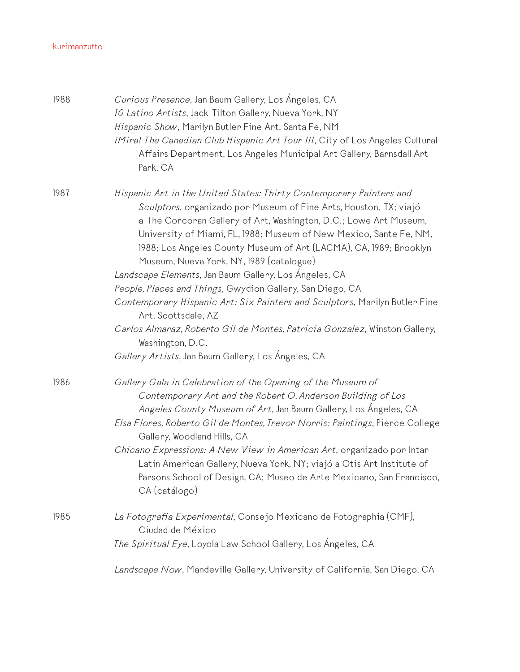| 1988 | Curious Presence, Jan Baum Gallery, Los Angeles, CA<br>10 Latino Artists, Jack Tilton Gallery, Nueva York, NY<br>Hispanic Show, Marilyn Butler Fine Art, Santa Fe, NM<br>iMira! The Canadian Club Hispanic Art Tour III, City of Los Angeles Cultural<br>Affairs Department, Los Angeles Municipal Art Gallery, Barnsdall Art<br>Park, CA                                                                                                                                                                                                                                                                                                                                                                      |
|------|----------------------------------------------------------------------------------------------------------------------------------------------------------------------------------------------------------------------------------------------------------------------------------------------------------------------------------------------------------------------------------------------------------------------------------------------------------------------------------------------------------------------------------------------------------------------------------------------------------------------------------------------------------------------------------------------------------------|
| 1987 | Hispanic Art in the United States: Thirty Contemporary Painters and<br>Sculptors, organizado por Museum of Fine Arts, Houston, TX; viajó<br>a The Corcoran Gallery of Art, Washington, D.C.; Lowe Art Museum,<br>University of Miami, FL, 1988; Museum of New Mexico, Sante Fe, NM,<br>1988; Los Angeles County Museum of Art (LACMA), CA, 1989; Brooklyn<br>Museum, Nueva York, NY, 1989 (catalogue)<br>Landscape Elements, Jan Baum Gallery, Los Ángeles, CA<br>People, Places and Things, Gwydion Gallery, San Diego, CA<br>Contemporary Hispanic Art: Six Painters and Sculptors, Marilyn Butler Fine<br>Art, Scottsdale, AZ<br>Carlos Almaraz, Roberto Gil de Montes, Patricia Gonzalez, Winston Gallery, |
|      | Washington, D.C.<br>Gallery Artists, Jan Baum Gallery, Los Angeles, CA                                                                                                                                                                                                                                                                                                                                                                                                                                                                                                                                                                                                                                         |
| 1986 | Gallery Gala in Celebration of the Opening of the Museum of<br>Contemporary Art and the Robert O. Anderson Building of Los<br>Angeles County Museum of Art, Jan Baum Gallery, Los Ángeles, CA<br>Elsa Flores, Roberto Gil de Montes, Trevor Norris: Paintings, Pierce College<br>Gallery, Woodland Hills, CA<br>Chicano Expressions: A New View in American Art, organizado por Intar<br>Latin American Gallery, Nueva York, NY; viajó a Otis Art Institute of                                                                                                                                                                                                                                                 |
|      | Parsons School of Design, CA; Museo de Arte Mexicano, San Francisco,<br>CA (catálogo)                                                                                                                                                                                                                                                                                                                                                                                                                                                                                                                                                                                                                          |
| 1985 | La Fotografia Experimental, Consejo Mexicano de Fotographia (CMF),<br>Ciudad de México<br><i>The Spiritual Eye</i> , Loyola Law School Gallery, Los Ángeles, CA                                                                                                                                                                                                                                                                                                                                                                                                                                                                                                                                                |
|      | Landscape Now, Mandeville Gallery, University of California, San Diego, CA                                                                                                                                                                                                                                                                                                                                                                                                                                                                                                                                                                                                                                     |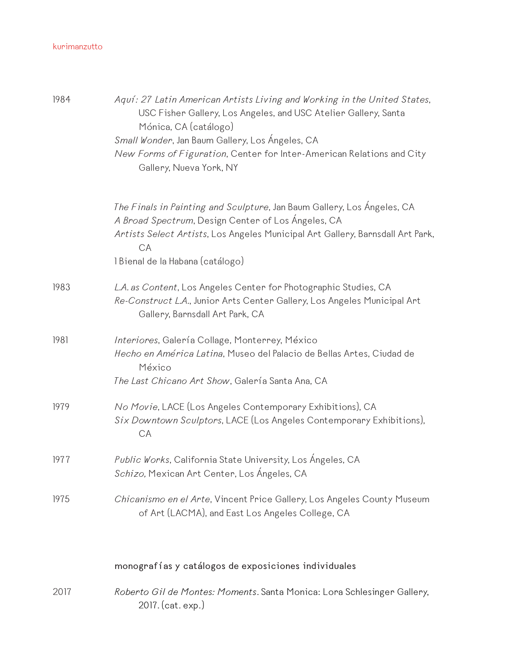| 1984 | Aquí: 27 Latin American Artists Living and Working in the United States,<br>USC Fisher Gallery, Los Angeles, and USC Atelier Gallery, Santa<br>Mónica, CA (catálogo)<br>Small Wonder, Jan Baum Gallery, Los Ángeles, CA<br>New Forms of Figuration, Center for Inter-American Relations and City<br>Gallery, Nueva York, NY |
|------|-----------------------------------------------------------------------------------------------------------------------------------------------------------------------------------------------------------------------------------------------------------------------------------------------------------------------------|
|      | The Finals in Painting and Sculpture, Jan Baum Gallery, Los Angeles, CA<br>A Broad Spectrum, Design Center of Los Ángeles, CA<br>Artists Select Artists, Los Angeles Municipal Art Gallery, Barnsdall Art Park,<br>CA<br>1 Bienal de la Habana (catálogo)                                                                   |
| 1983 | L.A. as Content, Los Angeles Center for Photographic Studies, CA<br>Re-Construct L.A., Junior Arts Center Gallery, Los Angeles Municipal Art<br>Gallery, Barnsdall Art Park, CA                                                                                                                                             |
| 1981 | Interiores, Galería Collage, Monterrey, México<br>Hecho en América Latina, Museo del Palacio de Bellas Artes, Ciudad de<br>México<br>The Last Chicano Art Show, Galería Santa Ana, CA                                                                                                                                       |
| 1979 | No Movie, LACE (Los Angeles Contemporary Exhibitions), CA<br>Six Downtown Sculptors, LACE (Los Angeles Contemporary Exhibitions),<br>CA                                                                                                                                                                                     |
| 1977 | Public Works, California State University, Los Ángeles, CA<br><i>Schizo,</i> Mexican Art Center, Los Ángeles, CA                                                                                                                                                                                                            |
| 1975 | Chicanismo en el Arte, Vincent Price Gallery, Los Angeles County Museum<br>of Art (LACMA), and East Los Angeles College, CA                                                                                                                                                                                                 |
|      | monografías y catálogos de exposiciones individuales                                                                                                                                                                                                                                                                        |
| 2017 | Roberto Gil de Montes: Moments. Santa Monica: Lora Schlesinger Gallery,<br>2017. (cat. exp.)                                                                                                                                                                                                                                |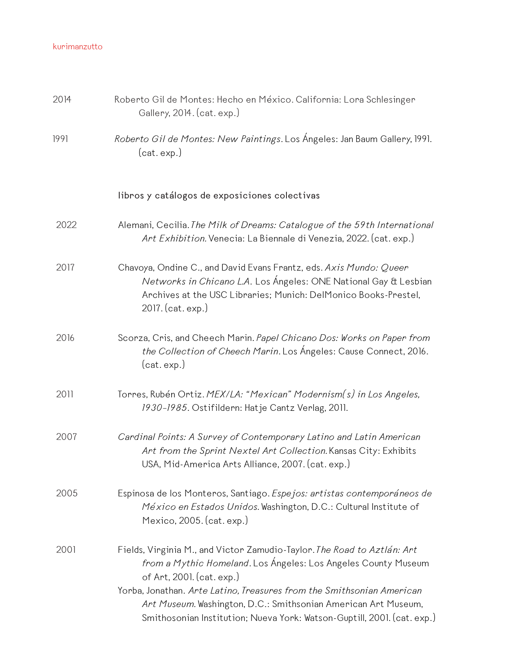| 2014 | Roberto Gil de Montes: Hecho en México. California: Lora Schlesinger<br>Gallery, 2014. (cat. exp.)                                                                                                                                                                                                                                                                                           |
|------|----------------------------------------------------------------------------------------------------------------------------------------------------------------------------------------------------------------------------------------------------------------------------------------------------------------------------------------------------------------------------------------------|
| 1991 | Roberto Gil de Montes: New Paintings. Los Ángeles: Jan Baum Gallery, 1991.<br>(cat. exp.)                                                                                                                                                                                                                                                                                                    |
|      | libros y catálogos de exposiciones colectivas                                                                                                                                                                                                                                                                                                                                                |
| 2022 | Alemani, Cecilia. The Milk of Dreams: Catalogue of the 59th International<br>Art Exhibition. Venecia: La Biennale di Venezia, 2022. (cat. exp.)                                                                                                                                                                                                                                              |
| 2017 | Chavoya, Ondine C., and David Evans Frantz, eds. Axis Mundo: Queer<br>Networks in Chicano L.A. Los Ángeles: ONE National Gay & Lesbian<br>Archives at the USC Libraries; Munich: DelMonico Books-Prestel,<br>2017. (cat. exp.)                                                                                                                                                               |
| 2016 | Scorza, Cris, and Cheech Marin. Papel Chicano Dos: Works on Paper from<br>the Collection of Cheech Marin. Los Ángeles: Cause Connect, 2016.<br>(cat. exp.)                                                                                                                                                                                                                                   |
| 2011 | Torres, Rubén Ortiz. MEX/LA: "Mexican" Modernism(s) in Los Angeles,<br>1930-1985. Ostifildern: Hatje Cantz Verlag, 2011.                                                                                                                                                                                                                                                                     |
| 2007 | Cardinal Points: A Survey of Contemporary Latino and Latin American<br>Art from the Sprint Nextel Art Collection. Kansas City: Exhibits<br>USA, Mid-America Arts Alliance, 2007. (cat. exp.)                                                                                                                                                                                                 |
| 2005 | Espinosa de los Monteros, Santiago. Espejos: artistas contemporáneos de<br>México en Estados Unidos. Washington, D.C.: Cultural Institute of<br>Mexico, 2005. (cat. exp.)                                                                                                                                                                                                                    |
| 2001 | Fields, Virginia M., and Victor Zamudio-Taylor. The Road to Aztlán: Art<br>from a Mythic Homeland. Los Ángeles: Los Angeles County Museum<br>of Art, 2001. (cat. exp.)<br>Yorba, Jonathan. Arte Latino, Treasures from the Smithsonian American<br>Art Museum. Washington, D.C.: Smithsonian American Art Museum,<br>Smithosonian Institution; Nueva York: Watson-Guptill, 2001. (cat. exp.) |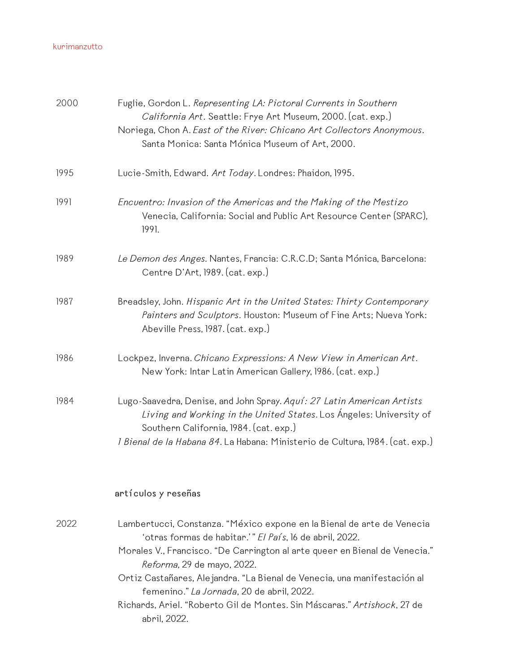| 2000 | Fuglie, Gordon L. Representing LA: Pictoral Currents in Southern<br>California Art. Seattle: Frye Art Museum, 2000. (cat. exp.)<br>Noriega, Chon A. East of the River: Chicano Art Collectors Anonymous.<br>Santa Monica: Santa Mónica Museum of Art, 2000.                                                                                                                                                                                                        |
|------|--------------------------------------------------------------------------------------------------------------------------------------------------------------------------------------------------------------------------------------------------------------------------------------------------------------------------------------------------------------------------------------------------------------------------------------------------------------------|
| 1995 | Lucie-Smith, Edward. Art Today. Londres: Phaidon, 1995.                                                                                                                                                                                                                                                                                                                                                                                                            |
| 1991 | Encuentro: Invasion of the Americas and the Making of the Mestizo<br>Venecia, California: Social and Public Art Resource Center (SPARC),<br>1991.                                                                                                                                                                                                                                                                                                                  |
| 1989 | Le Demon des Anges. Nantes, Francia: C.R.C.D; Santa Mónica, Barcelona:<br>Centre D'Art, 1989. (cat. exp.)                                                                                                                                                                                                                                                                                                                                                          |
| 1987 | Breadsley, John. Hispanic Art in the United States: Thirty Contemporary<br>Painters and Sculptors. Houston: Museum of Fine Arts; Nueva York:<br>Abeville Press, 1987. (cat. exp.)                                                                                                                                                                                                                                                                                  |
| 1986 | Lockpez, Inverna. Chicano Expressions: A New View in American Art.<br>New York: Intar Latin American Gallery, 1986. (cat. exp.)                                                                                                                                                                                                                                                                                                                                    |
| 1984 | Lugo-Saavedra, Denise, and John Spray. Aquí: 27 Latin American Artists<br>Living and Working in the United States. Los Ángeles: University of<br>Southern California, 1984. (cat. exp.)<br><i>l Bienal de la Habana 84.</i> La Habana: Ministerio de Cultura, 1984. (cat. exp.)                                                                                                                                                                                    |
|      | artículos y reseñas                                                                                                                                                                                                                                                                                                                                                                                                                                                |
| 2022 | Lambertucci, Constanza. "México expone en la Bienal de arte de Venecia<br>'otras formas de habitar.'" El País, 16 de abril, 2022.<br>Morales V., Francisco. "De Carrington al arte queer en Bienal de Venecia."<br>Reforma, 29 de mayo, 2022.<br>Ortiz Castañares, Alejandra. "La Bienal de Venecia, una manifestación al<br>femenino." La Jornada, 20 de abril, 2022.<br>Richards, Ariel. "Roberto Gil de Montes. Sin Máscaras." Artishock, 27 de<br>abril, 2022. |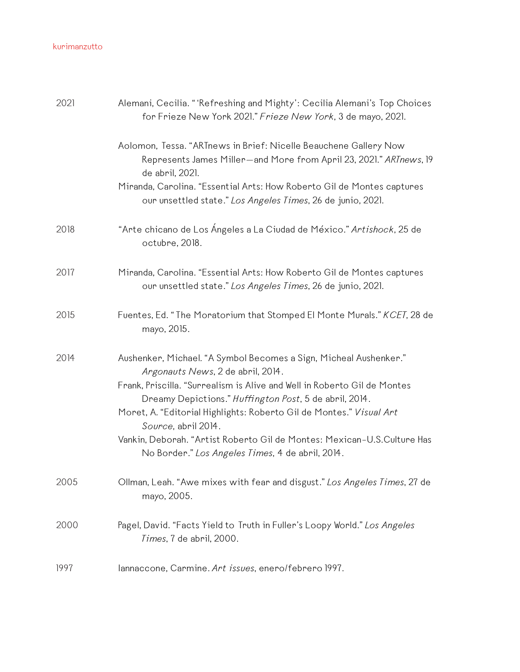| 2021 | Alemani, Cecilia. "'Refreshing and Mighty': Cecilia Alemani's Top Choices<br>for Frieze New York 2021." Frieze New York, 3 de mayo, 2021.                 |
|------|-----------------------------------------------------------------------------------------------------------------------------------------------------------|
|      | Aolomon, Tessa. "ARTnews in Brief: Nicelle Beauchene Gallery Now<br>Represents James Miller-and More from April 23, 2021." ARTnews, 19<br>de abril, 2021. |
|      | Miranda, Carolina. "Essential Arts: How Roberto Gil de Montes captures<br>our unsettled state." Los Angeles Times, 26 de junio, 2021.                     |
| 2018 | "Arte chicano de Los Ángeles a La Ciudad de México." Artishock, 25 de<br>octubre, 2018.                                                                   |
| 2017 | Miranda, Carolina. "Essential Arts: How Roberto Gil de Montes captures<br>our unsettled state." Los Angeles Times, 26 de junio, 2021.                     |
| 2015 | Fuentes, Ed. "The Moratorium that Stomped El Monte Murals." KCET, 28 de<br>mayo, 2015.                                                                    |
| 2014 | Aushenker, Michael. "A Symbol Becomes a Sign, Micheal Aushenker."<br>Argonauts News, 2 de abril, 2014.                                                    |
|      | Frank, Priscilla. "Surrealism is Alive and Well in Roberto Gil de Montes<br>Dreamy Depictions." Huffington Post, 5 de abril, 2014.                        |
|      | Moret, A. "Editorial Highlights: Roberto Gil de Montes." Visual Art<br>Source, abril 2014.                                                                |
|      | Vankin, Deborah. "Artist Roberto Gil de Montes: Mexican-U.S.Culture Has<br>No Border." Los Angeles Times, 4 de abril, 2014.                               |
| 2005 | Ollman, Leah. "Awe mixes with fear and disgust." Los Angeles Times, 27 de<br>mayo, 2005.                                                                  |
| 2000 | Pagel, David. "Facts Yield to Truth in Fuller's Loopy World." Los Angeles<br>Times, 7 de abril, 2000.                                                     |
| 1997 | lannaccone, Carmine. Art issues, enero/febrero 1997.                                                                                                      |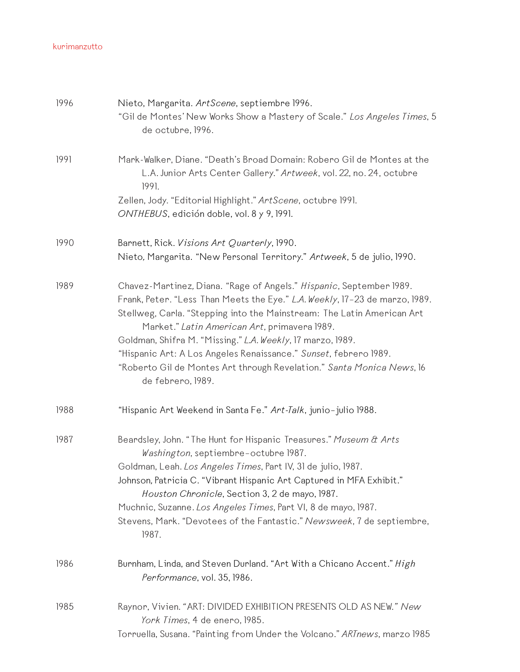| 1996 | Nieto, Margarita. ArtScene, septiembre 1996.<br>"Gil de Montes' New Works Show a Mastery of Scale." Los Angeles Times, 5<br>de octubre, 1996.                                                                                                                                                                                                                                                                                                                                                                |
|------|--------------------------------------------------------------------------------------------------------------------------------------------------------------------------------------------------------------------------------------------------------------------------------------------------------------------------------------------------------------------------------------------------------------------------------------------------------------------------------------------------------------|
| 1991 | Mark-Walker, Diane. "Death's Broad Domain: Robero Gil de Montes at the<br>L.A. Junior Arts Center Gallery." Artweek, vol. 22, no. 24, octubre<br>1991.                                                                                                                                                                                                                                                                                                                                                       |
|      | Zellen, Jody. "Editorial Highlight." ArtScene, octubre 1991.<br>ONTHEBUS, edición doble, vol. 8 y 9, 1991.                                                                                                                                                                                                                                                                                                                                                                                                   |
| 1990 | Barnett, Rick. Visions Art Quarterly, 1990.<br>Nieto, Margarita. "New Personal Territory." Artweek, 5 de julio, 1990.                                                                                                                                                                                                                                                                                                                                                                                        |
| 1989 | Chavez-Martinez, Diana. "Rage of Angels." Hispanic, September 1989.<br>Frank, Peter. "Less Than Meets the Eye." L.A. Weekly, 17-23 de marzo, 1989.<br>Stellweg, Carla. "Stepping into the Mainstream: The Latin American Art<br>Market." Latin American Art, primavera 1989.<br>Goldman, Shifra M. "Missing." L.A. Weekly, 17 marzo, 1989.<br>"Hispanic Art: A Los Angeles Renaissance." Sunset, febrero 1989.<br>"Roberto Gil de Montes Art through Revelation." Santa Monica News, 16<br>de febrero, 1989. |
| 1988 | "Hispanic Art Weekend in Santa Fe." Art-Talk, junio-julio 1988.                                                                                                                                                                                                                                                                                                                                                                                                                                              |
| 1987 | Beardsley, John. "The Hunt for Hispanic Treasures." Museum & Arts<br>Washington, septiembre-octubre 1987.<br>Goldman, Leah. Los Angeles Times, Part IV, 31 de julio, 1987.<br>Johnson, Patricia C. "Vibrant Hispanic Art Captured in MFA Exhibit."<br>Houston Chronicle, Section 3, 2 de mayo, 1987.<br>Muchnic, Suzanne. Los Angeles Times, Part VI, 8 de mayo, 1987.<br>Stevens, Mark. "Devotees of the Fantastic." Newsweek, 7 de septiembre,<br>1987.                                                    |
| 1986 | Burnham, Linda, and Steven Durland. "Art With a Chicano Accent." High<br>Performance, vol. 35, 1986.                                                                                                                                                                                                                                                                                                                                                                                                         |
| 1985 | Raynor, Vivien. "ART: DIVIDED EXHIBITION PRESENTS OLD AS NEW." New<br>York Times, 4 de enero, 1985.<br>Torruella, Susana. "Painting from Under the Volcano." ARTnews, marzo 1985                                                                                                                                                                                                                                                                                                                             |